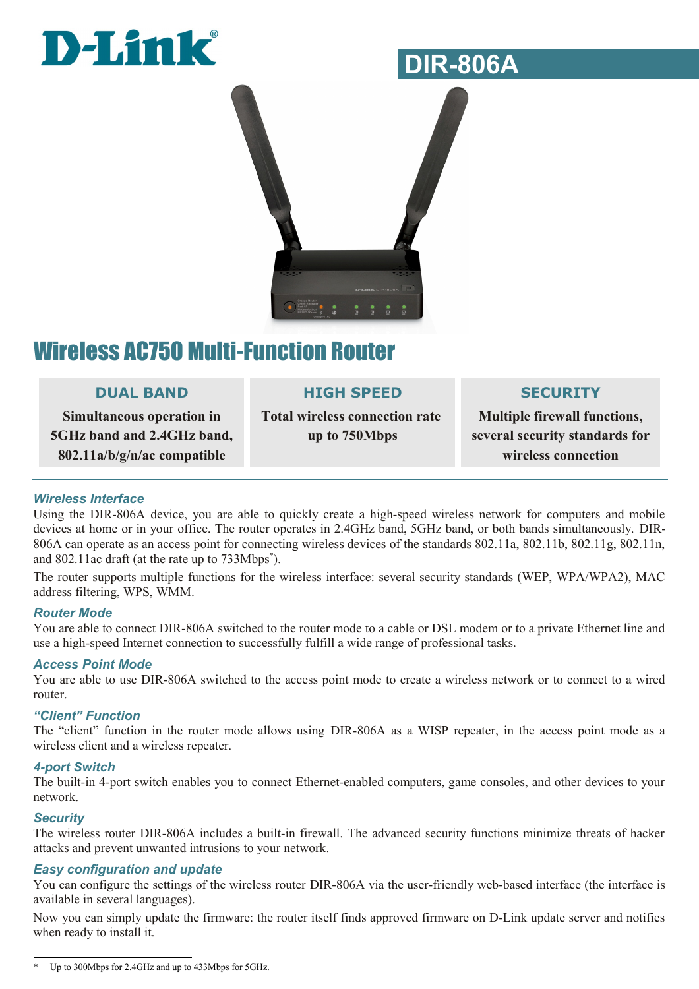



### Wireless AC750 Multi-Function Router

#### **DUAL BAND**

**Simultaneous operation in 5GHz band and 2.4GHz band, 802.11a/b/g/n/ac compatible**

#### **HIGH SPEED**

**Total wireless connection rate up to 750Mbps**

#### **SECURITY**

**Multiple firewall functions, several security standards for wireless connection**

#### *Wireless Interface*

Using the DIR-806A device, you are able to quickly create a high-speed wireless network for computers and mobile devices at home or in your office. The router operates in 2.4GHz band, 5GHz band, or both bands simultaneously. DIR-806A can operate as an access point for connecting wireless devices of the standards 802.11a, 802.11b, 802.11g, 802.11n, and 802.11ac draft (at the rate up to 733Mbps[\\*](#page-0-0) ).

The router supports multiple functions for the wireless interface: several security standards (WEP, WPA/WPA2), MAC address filtering, WPS, WMM.

#### *Router Mode*

You are able to connect DIR-806A switched to the router mode to a cable or DSL modem or to a private Ethernet line and use a high-speed Internet connection to successfully fulfill a wide range of professional tasks.

#### *Access Point Mode*

You are able to use DIR-806A switched to the access point mode to create a wireless network or to connect to a wired router.

#### *"Client" Function*

The "client" function in the router mode allows using DIR-806A as a WISP repeater, in the access point mode as a wireless client and a wireless repeater.

#### *4-port Switch*

The built-in 4-port switch enables you to connect Ethernet-enabled computers, game consoles, and other devices to your network.

#### *Security*

The wireless router DIR-806A includes a built-in firewall. The advanced security functions minimize threats of hacker attacks and prevent unwanted intrusions to your network.

#### *Easy configuration and update*

You can configure the settings of the wireless router DIR-806A via the user-friendly web-based interface (the interface is available in several languages).

Now you can simply update the firmware: the router itself finds approved firmware on D-Link update server and notifies when ready to install it.

<span id="page-0-0"></span>Up to 300Mbps for 2.4GHz and up to 433Mbps for 5GHz.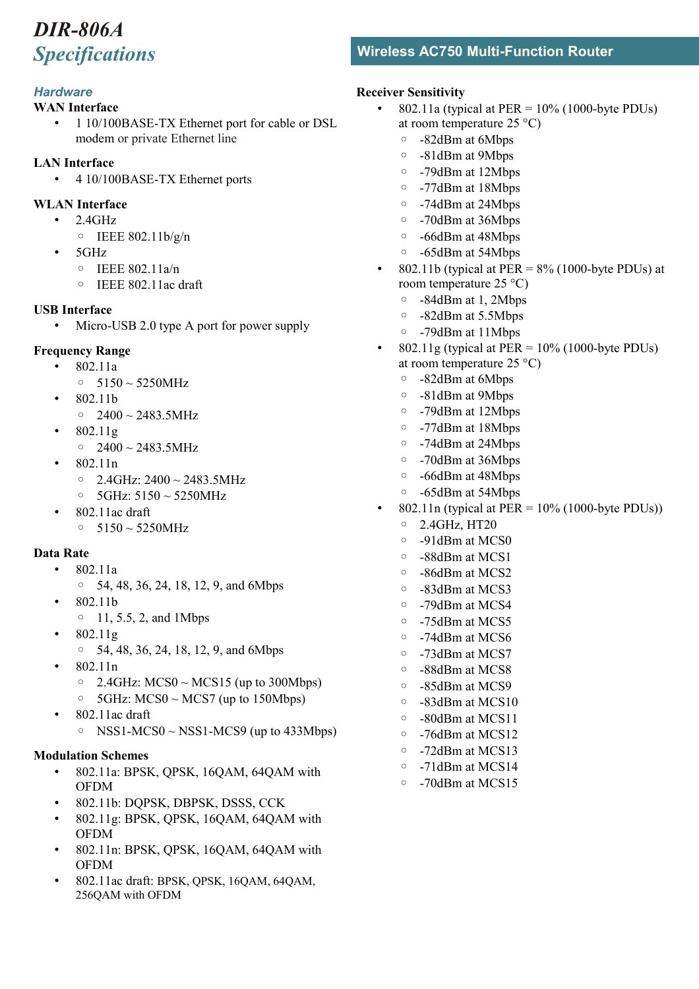#### *Hardware*

#### **WAN Interface**

• 1 10/100BASE-TX Ethernet port for cable or DSL modem or private Ethernet line

#### **LAN Interface**

- 4 10/100BASE-TX Ethernet ports
- **WLAN Interface**
	- 2.4GHz
		- $\circ$  IEEE 802.11b/g/n
	- 5GHz
		- IEEE 802.11a/n
		- IEEE 802.11ac draft

#### **USB Interface**

Micro-USB 2.0 type A port for power supply

#### **Frequency Range**

- 802.11a
	- 5150 ~ 5250MHz
- 802.11b  $\circ$  2400 ~ 2483.5MHz
- 802.11g
	- $\circ$  2400 ~ 2483.5MHz
- 802.11n
	- $\circ$  2.4GHz: 2400  $\sim$  2483.5MHz
	- 5GHz: 5150 ~ 5250MHz
- 802.11ac draft
	- 5150 ~ 5250MHz

#### **Data Rate**

- 802.11a
	- 54, 48, 36, 24, 18, 12, 9, and 6Mbps
- 802.11b
- 11, 5.5, 2, and 1Mbps
- 802.11g
	- 54, 48, 36, 24, 18, 12, 9, and 6Mbps
- 802.11n
	- 2.4GHz: MCS0  $\sim$  MCS15 (up to 300Mbps)
	- $\circ$  5GHz: MCS0 ~ MCS7 (up to 150Mbps)
- 802.11ac draft
	- $\circ$  NSS1-MCS0 ~ NSS1-MCS9 (up to 433Mbps)

#### **Modulation Schemes**

- 802.11a: BPSK, QPSK, 16QAM, 64QAM with OFDM
- 802.11b: DQPSK, DBPSK, DSSS, CCK
- 802.11g: BPSK, QPSK, 16QAM, 64QAM with OFDM
- 802.11n: BPSK, QPSK, 16QAM, 64QAM with OFDM
- 802.11ac draft: BPSK, QPSK, 16QAM, 64QAM, 256QAM with OFDM

### *Specifications* **Wireless AC750 Multi-Function Router**

#### **Receiver Sensitivity**

- 802.11a (typical at PER =  $10\%$  (1000-byte PDUs) at room temperature 25 °C)
	- -82dBm at 6Mbps
	- -81dBm at 9Mbps
	- -79dBm at 12Mbps
	- -77dBm at 18Mbps
	- -74dBm at 24Mbps
	- -70dBm at 36Mbps
	- -66dBm at 48Mbps
	- -65dBm at 54Mbps
- 802.11b (typical at PER =  $8\%$  (1000-byte PDUs) at room temperature 25 °C)
	- -84dBm at 1, 2Mbps
	- -82dBm at 5.5Mbps
	- -79dBm at 11Mbps
- $802.11$ g (typical at PER = 10% (1000-byte PDUs) at room temperature 25 °C)
	- -82dBm at 6Mbps
	- -81dBm at 9Mbps
	- -79dBm at 12Mbps
	- -77dBm at 18Mbps
	- -74dBm at 24Mbps
	- -70dBm at 36Mbps
	- -66dBm at 48Mbps
	- -65dBm at 54Mbps
- 802.11n (typical at PER =  $10\%$  (1000-byte PDUs))
	- 2.4GHz, HT20
	- -91dBm at MCS0
	- -88dBm at MCS1
	- -86dBm at MCS2
	- -83dBm at MCS3
	- -79dBm at MCS4
	- -75dBm at MCS5
	- -74dBm at MCS6
	- -73dBm at MCS7
	- -88dBm at MCS8
	- -85dBm at MCS9
	- -83dBm at MCS10
	- -80dBm at MCS11
	- -76dBm at MCS12
	- -72dBm at MCS13
	- -71dBm at MCS14
	- -70dBm at MCS15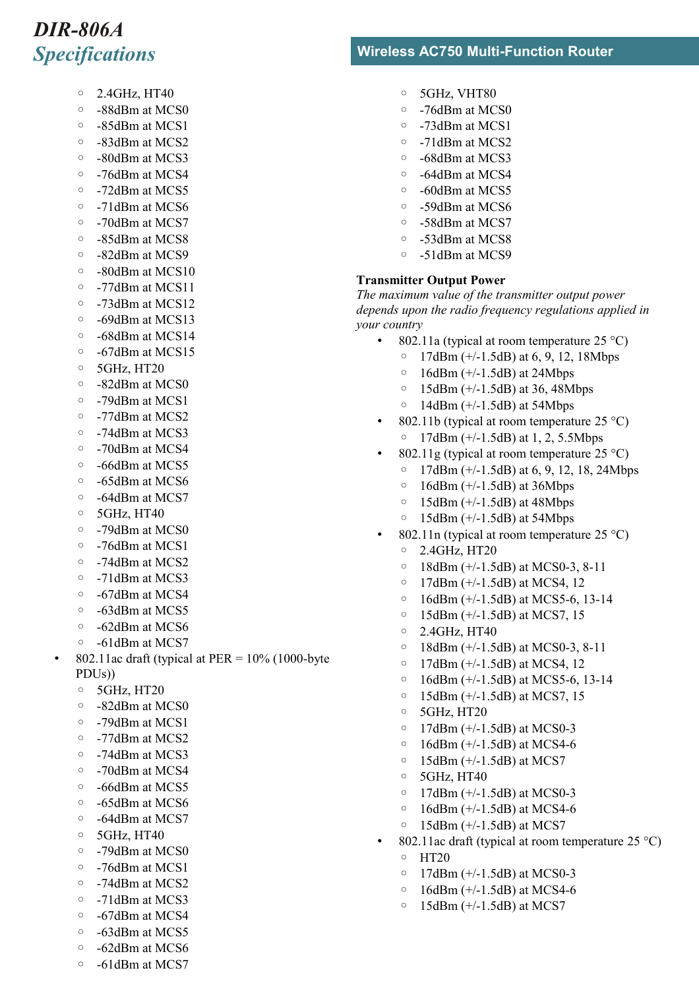- 2.4GHz, HT40
- -88dBm at MCS0
- -85dBm at MCS1
- -83dBm at MCS2
- -80dBm at MCS3
- -76dBm at MCS4
- -72dBm at MCS5
- -71dBm at MCS6
- -70dBm at MCS7
- -85dBm at MCS8
- -82dBm at MCS9
- -80dBm at MCS10
- -77dBm at MCS11
- -73dBm at MCS12
- -69dBm at MCS13
- -68dBm at MCS14
- -67dBm at MCS15
- 5GHz, HT20
- -82dBm at MCS0
- -79dBm at MCS1
- -77dBm at MCS2
- -74dBm at MCS3
- -70dBm at MCS4
- -66dBm at MCS5
- -65dBm at MCS6
- -64dBm at MCS7
- 5GHz, HT40
- -79dBm at MCS0
- -76dBm at MCS1
- -74dBm at MCS2
- -71dBm at MCS3
- -67dBm at MCS4
- -63dBm at MCS5
- -62dBm at MCS6
- -61dBm at MCS7
- 802.11ac draft (typical at  $PER = 10\%$  (1000-byte PDUs))
	- 5GHz, HT20
	- -82dBm at MCS0
	- -79dBm at MCS1
	- -77dBm at MCS2
	- -74dBm at MCS3
	- -70dBm at MCS4
	- -66dBm at MCS5
	- -65dBm at MCS6
	- -64dBm at MCS7
	- 5GHz, HT40
	- -79dBm at MCS0
	- -76dBm at MCS1
	- -74dBm at MCS2
	- -71dBm at MCS3
	- -67dBm at MCS4
	- -63dBm at MCS5
	- -62dBm at MCS6
	- -61dBm at MCS7

### *Specifications* **Wireless AC750 Multi-Function Router**

- 5GHz, VHT80
- -76dBm at MCS0
- -73dBm at MCS1
- -71dBm at MCS2
- -68dBm at MCS3
- -64dBm at MCS4
- -60dBm at MCS5
- -59dBm at MCS6
- -58dBm at MCS7
- -53dBm at MCS8
- -51dBm at MCS9

#### **Transmitter Output Power**

*The maximum value of the transmitter output power depends upon the radio frequency regulations applied in your country*

- 802.11a (typical at room temperature  $25^{\circ}$ C)
	- 17dBm (+/-1.5dB) at 6, 9, 12, 18Mbps
	- $\circ$  16dBm (+/-1.5dB) at 24Mbps
	- 15dBm (+/-1.5dB) at 36, 48Mbps
	- $\circ$  14dBm (+/-1.5dB) at 54Mbps
- 802.11b (typical at room temperature  $25^{\circ}$ C) ◦ 17dBm (+/-1.5dB) at 1, 2, 5.5Mbps
- 802.11g (typical at room temperature  $25^{\circ}$ C)
	- 17dBm (+/-1.5dB) at 6, 9, 12, 18, 24Mbps
	- $\circ$  16dBm (+/-1.5dB) at 36Mbps
	- $\circ$  15dBm (+/-1.5dB) at 48Mbps
	- 15dBm (+/-1.5dB) at 54Mbps
- 802.11n (typical at room temperature  $25^{\circ}$ C) ◦ 2.4GHz, HT20
	- 18dBm (+/-1.5dB) at MCS0-3, 8-11
	- 17dBm (+/-1.5dB) at MCS4, 12
	- 16dBm (+/-1.5dB) at MCS5-6, 13-14
	- 15dBm (+/-1.5dB) at MCS7, 15
	- 2.4GHz, HT40
	- 18dBm (+/-1.5dB) at MCS0-3, 8-11
	- 17dBm (+/-1.5dB) at MCS4, 12
	- 16dBm (+/-1.5dB) at MCS5-6, 13-14
	- 15dBm (+/-1.5dB) at MCS7, 15
	- 5GHz, HT20
	- 17dBm (+/-1.5dB) at MCS0-3
	- 16dBm (+/-1.5dB) at MCS4-6
	- $\circ$  15dBm (+/-1.5dB) at MCS7
	- 5GHz, HT40
	- 17dBm (+/-1.5dB) at MCS0-3
	- 16dBm (+/-1.5dB) at MCS4-6
	- $\circ$  15dBm (+/-1.5dB) at MCS7
- 802.11ac draft (typical at room temperature 25  $^{\circ}$ C) ◦ HT20
	- 17dBm (+/-1.5dB) at MCS0-3 ◦ 16dBm (+/-1.5dB) at MCS4-6

◦ 15dBm (+/-1.5dB) at MCS7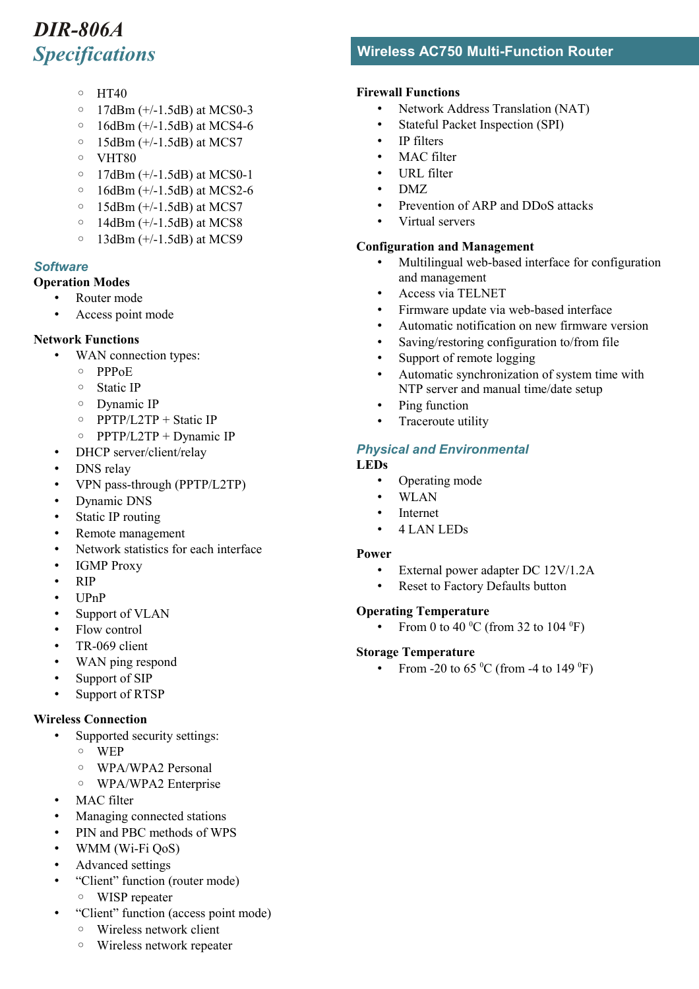- HT40
- 17dBm (+/-1.5dB) at MCS0-3
- 16dBm (+/-1.5dB) at MCS4-6
- $\circ$  15dBm (+/-1.5dB) at MCS7
- VHT80
- 17dBm (+/-1.5dB) at MCS0-1
- 16dBm (+/-1.5dB) at MCS2-6
- $\circ$  15dBm (+/-1.5dB) at MCS7
- $\circ$  14dBm (+/-1.5dB) at MCS8
- $\circ$  13dBm (+/-1.5dB) at MCS9

#### *Software*

- **Operation Modes**
	- Router mode
	- Access point mode

#### **Network Functions**

- WAN connection types:
	- PPPoE
	- Static IP
	- Dynamic IP
	- PPTP/L2TP + Static IP
	- PPTP/L2TP + Dynamic IP
- DHCP server/client/relay
- DNS relay
- VPN pass-through (PPTP/L2TP)
- Dynamic DNS
- Static IP routing
- Remote management
- Network statistics for each interface
- IGMP Proxy
- RIP
- UPnP
- Support of VLAN
- Flow control
- TR-069 client
- WAN ping respond
- Support of SIP
- Support of RTSP

#### **Wireless Connection**

- Supported security settings:
	- WEP
	- WPA/WPA2 Personal
- WPA/WPA2 Enterprise
- MAC filter
- Managing connected stations
- PIN and PBC methods of WPS
- WMM (Wi-Fi QoS)
- Advanced settings
- "Client" function (router mode)
	- WISP repeater
- "Client" function (access point mode)
	- Wireless network client
	- Wireless network repeater

### *Specifications* **Wireless AC750 Multi-Function Router**

#### **Firewall Functions**

- Network Address Translation (NAT)
- Stateful Packet Inspection (SPI)
- IP filters
- MAC filter
- URL filter
- DMZ
- Prevention of ARP and DDoS attacks
- Virtual servers

#### **Configuration and Management**

- Multilingual web-based interface for configuration and management
- Access via TELNET
- Firmware update via web-based interface
- Automatic notification on new firmware version
- Saving/restoring configuration to/from file
- Support of remote logging
- Automatic synchronization of system time with NTP server and manual time/date setup
- Ping function
- Traceroute utility

#### *Physical and Environmental*

#### **LEDs**

- Operating mode
- WLAN
- **Internet**
- 4 LAN LEDs

#### **Power**

- External power adapter DC 12V/1.2A
- Reset to Factory Defaults button

#### **Operating Temperature**

• From 0 to 40  $^{\circ}$ C (from 32 to 104  $^{\circ}$ F)

#### **Storage Temperature**

• From -20 to 65  $^{\circ}$ C (from -4 to 149  $^{\circ}$ F)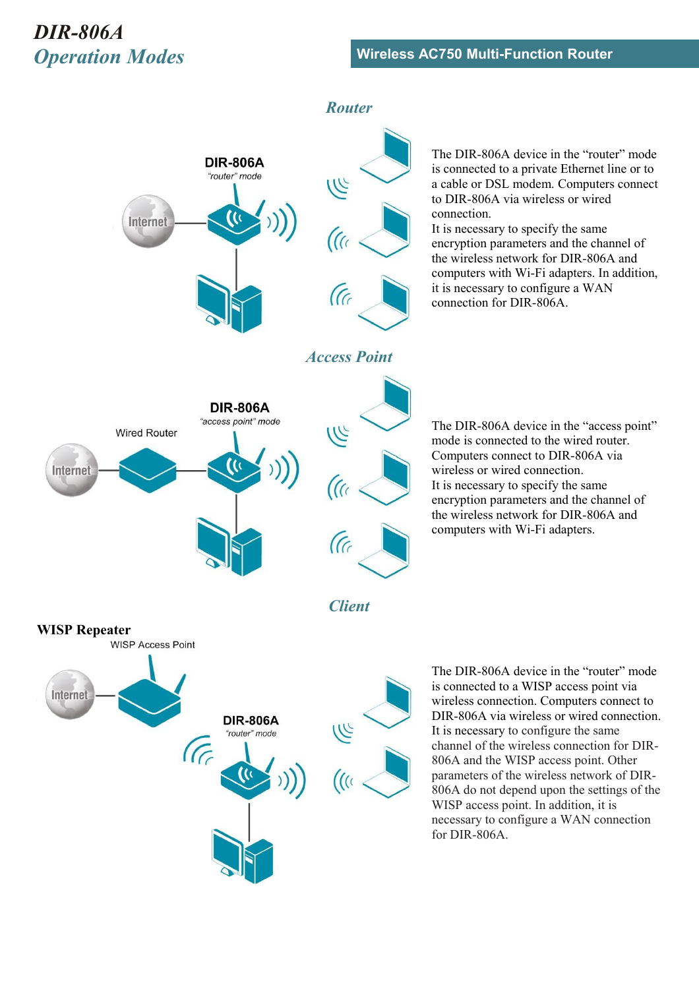

The DIR-806A device in the "router" mode is connected to a private Ethernet line or to a cable or DSL modem. Computers connect to DIR-806A via wireless or wired connection.

It is necessary to specify the same encryption parameters and the channel of the wireless network for DIR-806A and computers with Wi-Fi adapters. In addition, it is necessary to configure a WAN connection for DIR-806A.

The DIR-806A device in the "access point" mode is connected to the wired router. Computers connect to DIR-806A via wireless or wired connection. It is necessary to specify the same encryption parameters and the channel of the wireless network for DIR-806A and computers with Wi-Fi adapters.

The DIR-806A device in the "router" mode is connected to a WISP access point via wireless connection. Computers connect to DIR-806A via wireless or wired connection. It is necessary to configure the same channel of the wireless connection for DIR-806A and the WISP access point. Other parameters of the wireless network of DIR-806A do not depend upon the settings of the WISP access point. In addition, it is necessary to configure a WAN connection for DIR-806A.